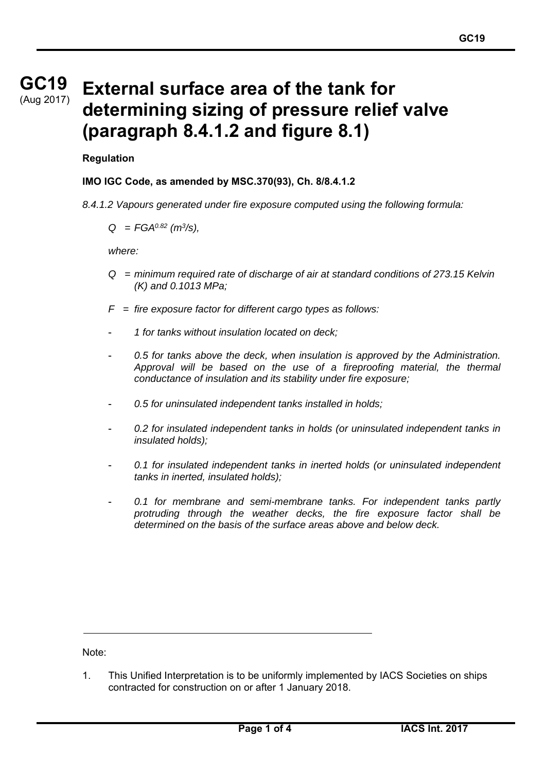# **GC19 GC19** (Aug 2017)

# **External surface area of the tank for determining sizing of pressure relief valve (paragraph 8.4.1.2 and figure 8.1)**

#### **Regulation**

#### **IMO IGC Code, as amended by MSC.370(93), Ch. 8/8.4.1.2**

*8.4.1.2 Vapours generated under fire exposure computed using the following formula:* 

*Q = FGA0.82 (m3/s),* 

*where:* 

- *Q = minimum required rate of discharge of air at standard conditions of 273.15 Kelvin (K) and 0.1013 MPa;*
- *F = fire exposure factor for different cargo types as follows:*
- *1 for tanks without insulation located on deck;*
- *0.5 for tanks above the deck, when insulation is approved by the Administration. Approval will be based on the use of a fireproofing material, the thermal conductance of insulation and its stability under fire exposure;*
- *0.5 for uninsulated independent tanks installed in holds;*
- *0.2 for insulated independent tanks in holds (or uninsulated independent tanks in insulated holds);*
- *0.1 for insulated independent tanks in inerted holds (or uninsulated independent tanks in inerted, insulated holds);*
- 0.1 for membrane and semi-membrane tanks. For independent tanks partly *protruding through the weather decks, the fire exposure factor shall be determined on the basis of the surface areas above and below deck.*

Note:

1. This Unified Interpretation is to be uniformly implemented by IACS Societies on ships contracted for construction on or after 1 January 2018.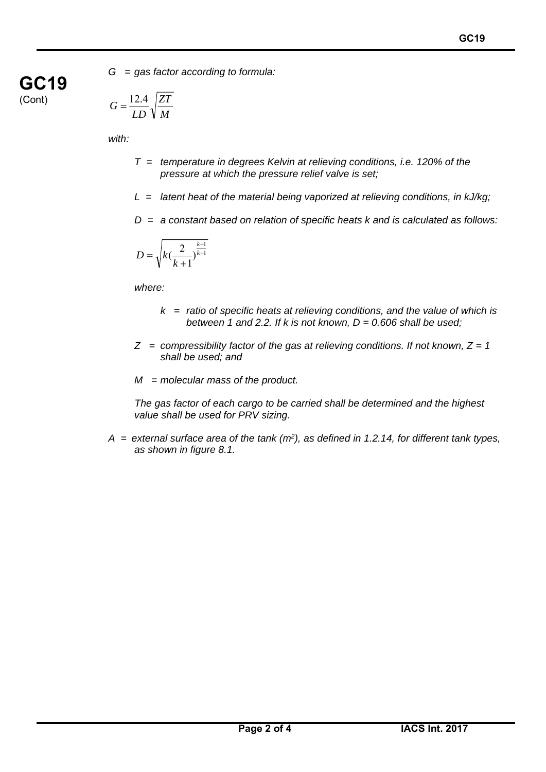*G = gas factor according to formula:* 

$$
G = \frac{12.4}{LD} \sqrt{\frac{ZT}{M}}
$$

*with:* 

**GC19** 

(Cont)

- *T = temperature in degrees Kelvin at relieving conditions, i.e. 120% of the pressure at which the pressure relief valve is set;*
- *L = latent heat of the material being vaporized at relieving conditions, in kJ/kg;*
- *D = a constant based on relation of specific heats k and is calculated as follows:*

$$
D = \sqrt{k(\frac{2}{k+1})^{\frac{k+1}{k-1}}}
$$

*where:* 

- *k = ratio of specific heats at relieving conditions, and the value of which is between 1 and 2.2. If k is not known, D = 0.606 shall be used;*
- *Z = compressibility factor of the gas at relieving conditions. If not known, Z = 1 shall be used; and*
- *M = molecular mass of the product.*

*The gas factor of each cargo to be carried shall be determined and the highest value shall be used for PRV sizing.* 

*A = external surface area of the tank (m2), as defined in 1.2.14, for different tank types, as shown in figure 8.1.*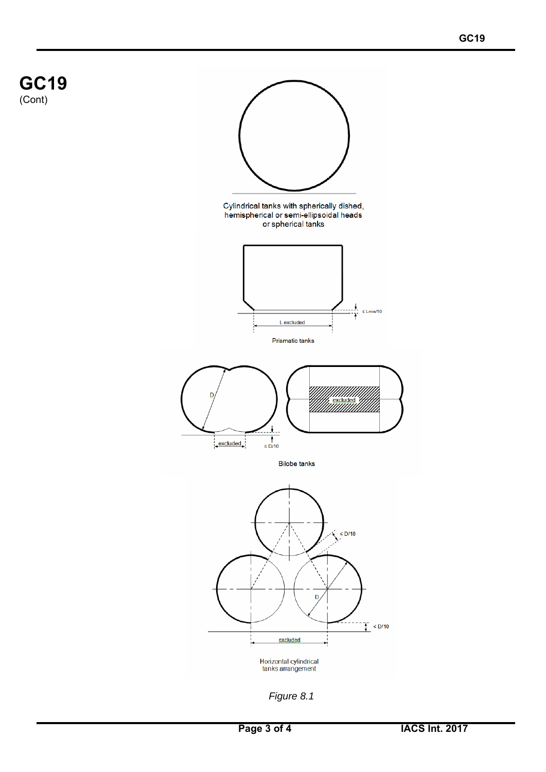

*Figure 8.1*